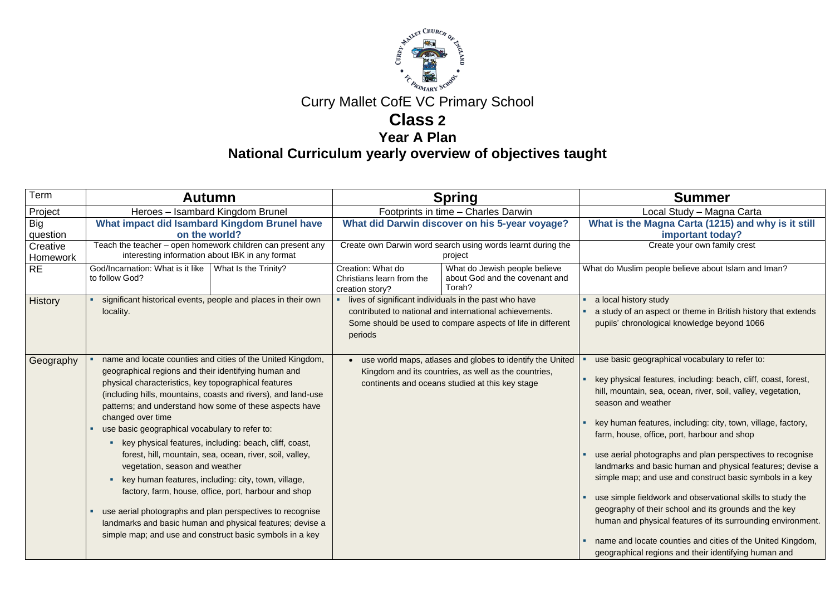

## Curry Mallet CofE VC Primary School

## **Class 2**

**Year A Plan**

**National Curriculum yearly overview of objectives taught**

Local Study – Magna Carta **the Magna Carta (1215) and why is it still important today?**

Create your own family crest

slim people believe about Islam and Iman?

an aspect or theme in British history that extends ronological knowledge beyond 1066

geographical vocabulary to refer to:

cal features, including: beach, cliff, coast, forest, itain, sea, ocean, river, soil, valley, vegetation, nd weather

an features, including: city, town, village, factory, se, office, port, harbour and shop

photographs and plan perspectives to recognise s and basic human and physical features; devise a ap; and use and construct basic symbols in a key

le fieldwork and observational skills to study the y of their school and its grounds and the key nd physical features of its surrounding environment.

d locate counties and cities of the United Kingdom, ical regions and their identifying human and

| Term                   | <b>Spring</b><br><b>Autumn</b>                                                                                                                                                                                        |                                                                                                                                                                                                                                                                                                                                                                                                                                                                                                                                                                                                                   | <b>Summer</b>                                                          |                                                                                                                                                                                 |                                                                                                                                                                                                                                                                                                                                                                                                                                                                                                                                                          |
|------------------------|-----------------------------------------------------------------------------------------------------------------------------------------------------------------------------------------------------------------------|-------------------------------------------------------------------------------------------------------------------------------------------------------------------------------------------------------------------------------------------------------------------------------------------------------------------------------------------------------------------------------------------------------------------------------------------------------------------------------------------------------------------------------------------------------------------------------------------------------------------|------------------------------------------------------------------------|---------------------------------------------------------------------------------------------------------------------------------------------------------------------------------|----------------------------------------------------------------------------------------------------------------------------------------------------------------------------------------------------------------------------------------------------------------------------------------------------------------------------------------------------------------------------------------------------------------------------------------------------------------------------------------------------------------------------------------------------------|
| Project                |                                                                                                                                                                                                                       | Heroes - Isambard Kingdom Brunel                                                                                                                                                                                                                                                                                                                                                                                                                                                                                                                                                                                  |                                                                        | Footprints in time - Charles Darwin                                                                                                                                             |                                                                                                                                                                                                                                                                                                                                                                                                                                                                                                                                                          |
| <b>Big</b><br>question | What impact did Isambard Kingdom Brunel have<br>on the world?                                                                                                                                                         |                                                                                                                                                                                                                                                                                                                                                                                                                                                                                                                                                                                                                   | What did Darwin discover on his 5-year voyage?                         |                                                                                                                                                                                 | <b>What is the Magna Carta (1215</b><br><b>important toda</b>                                                                                                                                                                                                                                                                                                                                                                                                                                                                                            |
| Creative<br>Homework   | Teach the teacher - open homework children can present any<br>interesting information about IBK in any format                                                                                                         |                                                                                                                                                                                                                                                                                                                                                                                                                                                                                                                                                                                                                   | Create own Darwin word search using words learnt during the<br>project |                                                                                                                                                                                 | Create your own fami                                                                                                                                                                                                                                                                                                                                                                                                                                                                                                                                     |
| <b>RE</b>              | God/Incarnation: What is it like<br>to follow God?                                                                                                                                                                    | What Is the Trinity?                                                                                                                                                                                                                                                                                                                                                                                                                                                                                                                                                                                              | Creation: What do<br>Christians learn from the<br>creation story?      | What do Jewish people believe<br>about God and the covenant and<br>Torah?                                                                                                       | What do Muslim people believe about Is                                                                                                                                                                                                                                                                                                                                                                                                                                                                                                                   |
| <b>History</b>         | locality.                                                                                                                                                                                                             | significant historical events, people and places in their own                                                                                                                                                                                                                                                                                                                                                                                                                                                                                                                                                     | periods                                                                | lives of significant individuals in the past who have<br>contributed to national and international achievements.<br>Some should be used to compare aspects of life in different | a local history study<br>a study of an aspect or theme in Brit<br>pupils' chronological knowledge bey                                                                                                                                                                                                                                                                                                                                                                                                                                                    |
| Geography              | geographical regions and their identifying human and<br>physical characteristics, key topographical features<br>changed over time<br>use basic geographical vocabulary to refer to:<br>vegetation, season and weather | name and locate counties and cities of the United Kingdom,<br>(including hills, mountains, coasts and rivers), and land-use<br>patterns; and understand how some of these aspects have<br>key physical features, including: beach, cliff, coast,<br>forest, hill, mountain, sea, ocean, river, soil, valley,<br>key human features, including: city, town, village,<br>factory, farm, house, office, port, harbour and shop<br>use aerial photographs and plan perspectives to recognise<br>landmarks and basic human and physical features; devise a<br>simple map; and use and construct basic symbols in a key |                                                                        | use world maps, atlases and globes to identify the United<br>Kingdom and its countries, as well as the countries,<br>continents and oceans studied at this key stage            | use basic geographical vocabulary t<br>key physical features, including: bea<br>hill, mountain, sea, ocean, river, soil<br>season and weather<br>key human features, including: city,<br>farm, house, office, port, harbour an<br>use aerial photographs and plan per<br>landmarks and basic human and ph<br>simple map; and use and construct I<br>use simple fieldwork and observation<br>geography of their school and its gro<br>human and physical features of its s<br>name and locate counties and cities<br>geographical regions and their ident |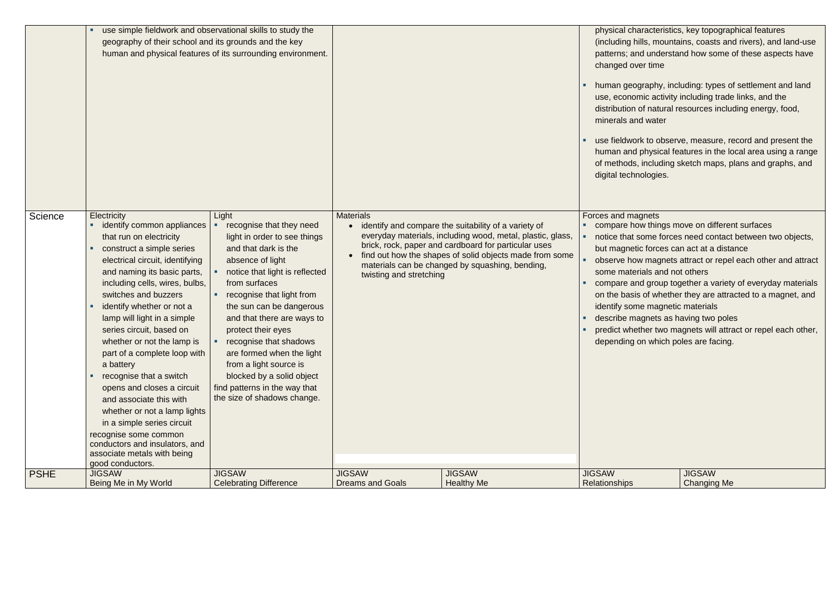|             | use simple fieldwork and observational skills to study the<br>geography of their school and its grounds and the key                                                                                                                                                                                                                                                                                                                                                                                                                                                                                                                                                     | human and physical features of its surrounding environment.                                                                                                                                                                                                                                                                                                                                                                                                 |                                             |                                                                                                                                                                                                                                                                                          | changed over time<br>minerals and water<br>digital technologies.                                                                                                                                                     | physical characteristics, key topographical features<br>(including hills, mountains, coasts and rivers), and land-use<br>patterns; and understand how some of these aspects have<br>human geography, including: types of settlement and land<br>use, economic activity including trade links, and the<br>distribution of natural resources including energy, food,<br>use fieldwork to observe, measure, record and present the<br>human and physical features in the local area using a range<br>of methods, including sketch maps, plans and graphs, and |
|-------------|-------------------------------------------------------------------------------------------------------------------------------------------------------------------------------------------------------------------------------------------------------------------------------------------------------------------------------------------------------------------------------------------------------------------------------------------------------------------------------------------------------------------------------------------------------------------------------------------------------------------------------------------------------------------------|-------------------------------------------------------------------------------------------------------------------------------------------------------------------------------------------------------------------------------------------------------------------------------------------------------------------------------------------------------------------------------------------------------------------------------------------------------------|---------------------------------------------|------------------------------------------------------------------------------------------------------------------------------------------------------------------------------------------------------------------------------------------------------------------------------------------|----------------------------------------------------------------------------------------------------------------------------------------------------------------------------------------------------------------------|------------------------------------------------------------------------------------------------------------------------------------------------------------------------------------------------------------------------------------------------------------------------------------------------------------------------------------------------------------------------------------------------------------------------------------------------------------------------------------------------------------------------------------------------------------|
| Science     | <b>Electricity</b><br>identify common appliances<br>that run on electricity<br>construct a simple series<br>electrical circuit, identifying<br>and naming its basic parts,<br>including cells, wires, bulbs,<br>switches and buzzers<br>identify whether or not a<br>lamp will light in a simple<br>series circuit, based on<br>whether or not the lamp is<br>part of a complete loop with<br>a battery<br>recognise that a switch<br>opens and closes a circuit<br>and associate this with<br>whether or not a lamp lights<br>in a simple series circuit<br>recognise some common<br>conductors and insulators, and<br>associate metals with being<br>good conductors. | Light<br>recognise that they need<br>light in order to see things<br>and that dark is the<br>absence of light<br>notice that light is reflected<br>from surfaces<br>recognise that light from<br>the sun can be dangerous<br>and that there are ways to<br>protect their eyes<br>recognise that shadows<br>are formed when the light<br>from a light source is<br>blocked by a solid object<br>find patterns in the way that<br>the size of shadows change. | <b>Materials</b><br>twisting and stretching | identify and compare the suitability of a variety of<br>everyday materials, including wood, metal, plastic, glass,<br>brick, rock, paper and cardboard for particular uses<br>find out how the shapes of solid objects made from some<br>materials can be changed by squashing, bending, | Forces and magnets<br>but magnetic forces can act at a distance<br>some materials and not others<br>identify some magnetic materials<br>describe magnets as having two poles<br>depending on which poles are facing. | compare how things move on different surfaces<br>notice that some forces need contact between two objects,<br>observe how magnets attract or repel each other and attract<br>compare and group together a variety of everyday materials<br>on the basis of whether they are attracted to a magnet, and<br>predict whether two magnets will attract or repel each other,                                                                                                                                                                                    |
| <b>PSHE</b> | <b>JIGSAW</b><br>Being Me in My World                                                                                                                                                                                                                                                                                                                                                                                                                                                                                                                                                                                                                                   | <b>JIGSAW</b><br><b>Celebrating Difference</b>                                                                                                                                                                                                                                                                                                                                                                                                              | <b>JIGSAW</b><br><b>Dreams and Goals</b>    | <b>JIGSAW</b><br><b>Healthy Me</b>                                                                                                                                                                                                                                                       | <b>JIGSAW</b><br>Relationships                                                                                                                                                                                       | <b>JIGSAW</b><br><b>Changing Me</b>                                                                                                                                                                                                                                                                                                                                                                                                                                                                                                                        |

- 
- 
- 
- 
- 
-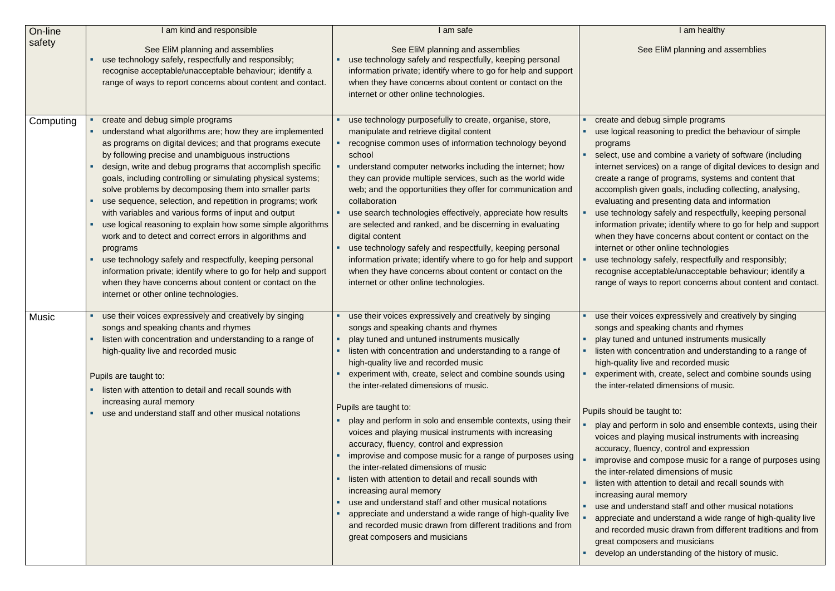### I am healthy

### See EliM planning and assemblies

debug simple programs reasoning to predict the behaviour of simple

and combine a variety of software (including vices) on a range of digital devices to design and nge of programs, systems and content that given goals, including collecting, analysing, and presenting data and information logy safely and respectfully, keeping personal private; identify where to go for help and support have concerns about content or contact on the other online technologies logy safely, respectfully and responsibly;

acceptable/unacceptable behaviour; identify a ays to report concerns about content and contact.

pices expressively and creatively by singing speaking chants and rhymes

and untuned instruments musically

concentration and understanding to a range of If live and recorded music

with, create, select and combine sounds using lated dimensions of music.

be taught to:

erform in solo and ensemble contexts, using their playing musical instruments with increasing

luency, control and expression

and compose music for a range of purposes using lated dimensions of music

attention to detail and recall sounds with aural memory

derstand staff and other musical notations

and understand a wide range of high-quality live

ed music drawn from different traditions and from osers and musicians

understanding of the history of music.

| On-line      | I am kind and responsible                                                                                                                                                                                                                                                                                                                                                                                                                                                                                                                                                                                                                                                                                                                                                                                                                                                                          | I am safe                                                                                                                                                                                                                                                                                                                                                                                                                                                                                                                                                                                                                                                                                                                                                                                                                                                                                                                                                                     |                                                                                                                                                                                                                                                                                                                                      |
|--------------|----------------------------------------------------------------------------------------------------------------------------------------------------------------------------------------------------------------------------------------------------------------------------------------------------------------------------------------------------------------------------------------------------------------------------------------------------------------------------------------------------------------------------------------------------------------------------------------------------------------------------------------------------------------------------------------------------------------------------------------------------------------------------------------------------------------------------------------------------------------------------------------------------|-------------------------------------------------------------------------------------------------------------------------------------------------------------------------------------------------------------------------------------------------------------------------------------------------------------------------------------------------------------------------------------------------------------------------------------------------------------------------------------------------------------------------------------------------------------------------------------------------------------------------------------------------------------------------------------------------------------------------------------------------------------------------------------------------------------------------------------------------------------------------------------------------------------------------------------------------------------------------------|--------------------------------------------------------------------------------------------------------------------------------------------------------------------------------------------------------------------------------------------------------------------------------------------------------------------------------------|
| safety       | See EliM planning and assemblies<br>use technology safely, respectfully and responsibly;<br>recognise acceptable/unacceptable behaviour; identify a<br>range of ways to report concerns about content and contact.                                                                                                                                                                                                                                                                                                                                                                                                                                                                                                                                                                                                                                                                                 | See EliM planning and assemblies<br>use technology safely and respectfully, keeping personal<br>information private; identify where to go for help and support<br>when they have concerns about content or contact on the<br>internet or other online technologies.                                                                                                                                                                                                                                                                                                                                                                                                                                                                                                                                                                                                                                                                                                           |                                                                                                                                                                                                                                                                                                                                      |
| Computing    | create and debug simple programs<br>understand what algorithms are; how they are implemented<br>as programs on digital devices; and that programs execute<br>by following precise and unambiguous instructions<br>design, write and debug programs that accomplish specific<br>goals, including controlling or simulating physical systems;<br>solve problems by decomposing them into smaller parts<br>use sequence, selection, and repetition in programs; work<br>with variables and various forms of input and output<br>use logical reasoning to explain how some simple algorithms<br>work and to detect and correct errors in algorithms and<br>programs<br>use technology safely and respectfully, keeping personal<br>information private; identify where to go for help and support<br>when they have concerns about content or contact on the<br>internet or other online technologies. | use technology purposefully to create, organise, store,<br>manipulate and retrieve digital content<br>recognise common uses of information technology beyond<br>school<br>understand computer networks including the internet; how<br>they can provide multiple services, such as the world wide<br>web; and the opportunities they offer for communication and<br>collaboration<br>use search technologies effectively, appreciate how results<br>are selected and ranked, and be discerning in evaluating<br>digital content<br>use technology safely and respectfully, keeping personal<br>information private; identify where to go for help and support<br>when they have concerns about content or contact on the<br>internet or other online technologies.                                                                                                                                                                                                             | create and<br>٠<br>use logical<br>programs<br>select, use<br>internet ser<br>create a rai<br>accomplish<br>evaluating<br>use techno<br>information<br>when they<br>internet or<br>use techno<br>recognise a<br>range of wa                                                                                                           |
| <b>Music</b> | use their voices expressively and creatively by singing<br>songs and speaking chants and rhymes<br>" listen with concentration and understanding to a range of<br>high-quality live and recorded music<br>Pupils are taught to:<br>listen with attention to detail and recall sounds with<br>increasing aural memory<br>use and understand staff and other musical notations                                                                                                                                                                                                                                                                                                                                                                                                                                                                                                                       | use their voices expressively and creatively by singing<br>songs and speaking chants and rhymes<br>• play tuned and untuned instruments musically<br>listen with concentration and understanding to a range of<br>high-quality live and recorded music<br>experiment with, create, select and combine sounds using<br>the inter-related dimensions of music.<br>Pupils are taught to:<br>play and perform in solo and ensemble contexts, using their<br>voices and playing musical instruments with increasing<br>accuracy, fluency, control and expression<br>improvise and compose music for a range of purposes using<br>the inter-related dimensions of music<br>listen with attention to detail and recall sounds with<br>increasing aural memory<br>use and understand staff and other musical notations<br>appreciate and understand a wide range of high-quality live<br>and recorded music drawn from different traditions and from<br>great composers and musicians | use their vo<br>songs and<br>• play tuned<br>listen with o<br>high-quality<br>experiment<br>the inter-rel<br>Pupils should I<br>$\blacksquare$<br>play and pe<br>voices and<br>accuracy, f<br>improvise a<br>the inter-rel<br>listen with a<br>increasing<br>use and un<br>appreciate<br>٠<br>and record<br>great comp<br>develop an |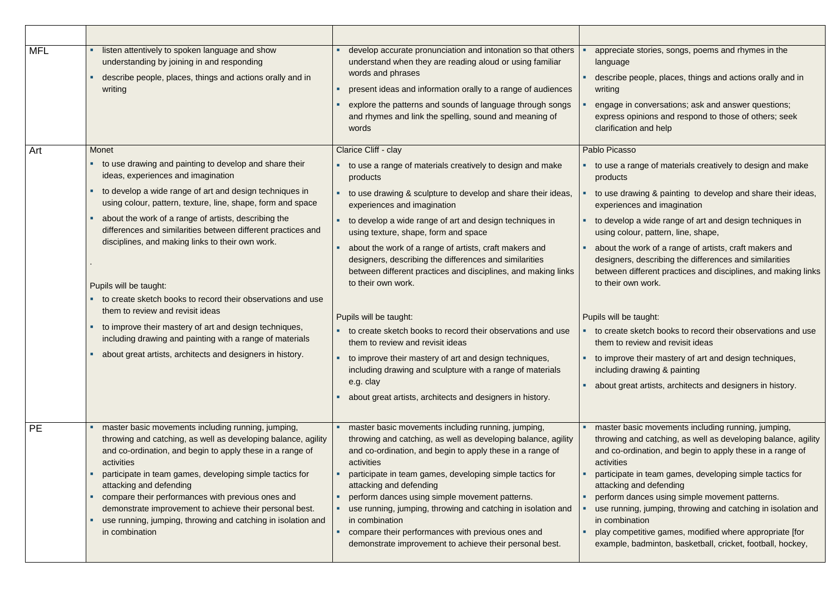| <b>MFL</b> | listen attentively to spoken language and show<br>٠<br>understanding by joining in and responding<br>describe people, places, things and actions orally and in<br>writing                                                                                                                                                                                                                                                                                                                            | develop accurate pronunciation and intonation so that others<br>٠<br>understand when they are reading aloud or using familiar<br>words and phrases<br>present ideas and information orally to a range of audiences<br>explore the patterns and sounds of language through songs<br>and rhymes and link the spelling, sound and meaning of<br>words                                                                                                                                                                                        | appreciate<br>language<br>describe po<br>writing<br>engage in<br>express op<br>clarification                                                                 |
|------------|------------------------------------------------------------------------------------------------------------------------------------------------------------------------------------------------------------------------------------------------------------------------------------------------------------------------------------------------------------------------------------------------------------------------------------------------------------------------------------------------------|-------------------------------------------------------------------------------------------------------------------------------------------------------------------------------------------------------------------------------------------------------------------------------------------------------------------------------------------------------------------------------------------------------------------------------------------------------------------------------------------------------------------------------------------|--------------------------------------------------------------------------------------------------------------------------------------------------------------|
| Art        | Monet<br>to use drawing and painting to develop and share their<br>ideas, experiences and imagination<br>to develop a wide range of art and design techniques in<br>using colour, pattern, texture, line, shape, form and space<br>about the work of a range of artists, describing the<br>differences and similarities between different practices and<br>disciplines, and making links to their own work.<br>Pupils will be taught:<br>to create sketch books to record their observations and use | Clarice Cliff - clay<br>to use a range of materials creatively to design and make<br>products<br>to use drawing & sculpture to develop and share their ideas,<br>experiences and imagination<br>to develop a wide range of art and design techniques in<br>using texture, shape, form and space<br>about the work of a range of artists, craft makers and<br>designers, describing the differences and similarities<br>between different practices and disciplines, and making links<br>to their own work.                                | Pablo Picasso<br>to use a ra<br>products<br>to use drav<br>experience<br>to develop<br>using colou<br>about the v<br>designers,<br>between di<br>to their ow |
|            | them to review and revisit ideas<br>to improve their mastery of art and design techniques,<br>including drawing and painting with a range of materials<br>about great artists, architects and designers in history.                                                                                                                                                                                                                                                                                  | Pupils will be taught:<br>to create sketch books to record their observations and use<br>them to review and revisit ideas<br>to improve their mastery of art and design techniques,<br>including drawing and sculpture with a range of materials<br>e.g. clay<br>about great artists, architects and designers in history.                                                                                                                                                                                                                | Pupils will be t<br>to create sl<br>them to rev<br>to improve<br>п<br>including d<br>about grea<br>п                                                         |
| <b>PE</b>  | master basic movements including running, jumping,<br>throwing and catching, as well as developing balance, agility<br>and co-ordination, and begin to apply these in a range of<br>activities<br>participate in team games, developing simple tactics for<br>attacking and defending<br>compare their performances with previous ones and<br>demonstrate improvement to achieve their personal best.<br>use running, jumping, throwing and catching in isolation and<br>in combination              | master basic movements including running, jumping,<br>throwing and catching, as well as developing balance, agility<br>and co-ordination, and begin to apply these in a range of<br>activities<br>participate in team games, developing simple tactics for<br>attacking and defending<br>perform dances using simple movement patterns.<br>use running, jumping, throwing and catching in isolation and<br>in combination<br>compare their performances with previous ones and<br>demonstrate improvement to achieve their personal best. | master bas<br>throwing a<br>and co-ord<br>activities<br>participate<br>attacking a<br>perform da<br>use running<br>in combina<br>play compe<br>example, b    |

appreciate stories, songs, poems and rhymes in the

beople, places, things and actions orally and in

conversations; ask and answer questions; pinions and respond to those of others; seek on and help

ange of materials creatively to design and make

wing & painting to develop and share their ideas, es and imagination

o a wide range of art and design techniques in our, pattern, line, shape,

work of a range of artists, craft makers and describing the differences and similarities different practices and disciplines, and making links vn work.

### taught:

sketch books to record their observations and use eview and revisit ideas

e their mastery of art and design techniques, drawing & painting

at artists, architects and designers in history.

asic movements including running, jumping, and catching, as well as developing balance, agility dination, and begin to apply these in a range of

e in team games, developing simple tactics for and defending

lances using simple movement patterns.

ng, jumping, throwing and catching in isolation and ation

petitive games, modified where appropriate [for badminton, basketball, cricket, football, hockey,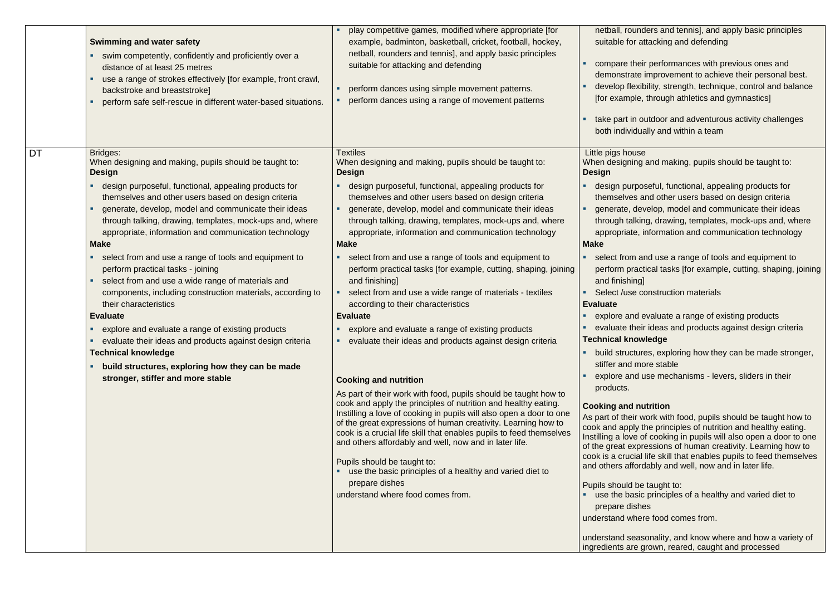|    | <b>Swimming and water safety</b><br>swim competently, confidently and proficiently over a<br>distance of at least 25 metres<br>use a range of strokes effectively [for example, front crawl,<br>backstroke and breaststroke]<br>perform safe self-rescue in different water-based situations.                                                                                                                                                                                                                                                                                                                                                                                                                                                                                                                                                                                                                                | play competitive games, modified where appropriate [for<br>example, badminton, basketball, cricket, football, hockey,<br>netball, rounders and tennis], and apply basic principles<br>suitable for attacking and defending<br>perform dances using simple movement patterns.<br>perform dances using a range of movement patterns                                                                                                                                                                                                                                                                                                                                                                                                                                                                                                                                                                                                                                                                                                                                                                                                                                                                                                                                                                                                                                                                | netball, ro<br>suitable fo<br>compare t<br>demonstra<br>develop fle<br>[for examp<br>take part i<br>both indivi                                                                                                                                                                                                                                                                                                                                                                                                                                                |
|----|------------------------------------------------------------------------------------------------------------------------------------------------------------------------------------------------------------------------------------------------------------------------------------------------------------------------------------------------------------------------------------------------------------------------------------------------------------------------------------------------------------------------------------------------------------------------------------------------------------------------------------------------------------------------------------------------------------------------------------------------------------------------------------------------------------------------------------------------------------------------------------------------------------------------------|--------------------------------------------------------------------------------------------------------------------------------------------------------------------------------------------------------------------------------------------------------------------------------------------------------------------------------------------------------------------------------------------------------------------------------------------------------------------------------------------------------------------------------------------------------------------------------------------------------------------------------------------------------------------------------------------------------------------------------------------------------------------------------------------------------------------------------------------------------------------------------------------------------------------------------------------------------------------------------------------------------------------------------------------------------------------------------------------------------------------------------------------------------------------------------------------------------------------------------------------------------------------------------------------------------------------------------------------------------------------------------------------------|----------------------------------------------------------------------------------------------------------------------------------------------------------------------------------------------------------------------------------------------------------------------------------------------------------------------------------------------------------------------------------------------------------------------------------------------------------------------------------------------------------------------------------------------------------------|
| DT | <b>Bridges:</b><br>When designing and making, pupils should be taught to:<br><b>Design</b><br>design purposeful, functional, appealing products for<br>themselves and other users based on design criteria<br>generate, develop, model and communicate their ideas<br>through talking, drawing, templates, mock-ups and, where<br>appropriate, information and communication technology<br><b>Make</b><br>select from and use a range of tools and equipment to<br>п.<br>perform practical tasks - joining<br>select from and use a wide range of materials and<br>٠<br>components, including construction materials, according to<br>their characteristics<br><b>Evaluate</b><br>explore and evaluate a range of existing products<br>evaluate their ideas and products against design criteria<br><b>Technical knowledge</b><br>build structures, exploring how they can be made<br>ш<br>stronger, stiffer and more stable | <b>Textiles</b><br>When designing and making, pupils should be taught to:<br><b>Design</b><br>design purposeful, functional, appealing products for<br>themselves and other users based on design criteria<br>generate, develop, model and communicate their ideas<br>through talking, drawing, templates, mock-ups and, where<br>appropriate, information and communication technology<br><b>Make</b><br>select from and use a range of tools and equipment to<br>perform practical tasks [for example, cutting, shaping, joining<br>and finishing]<br>select from and use a wide range of materials - textiles<br>according to their characteristics<br><b>Evaluate</b><br>explore and evaluate a range of existing products<br>evaluate their ideas and products against design criteria<br>ш<br><b>Cooking and nutrition</b><br>As part of their work with food, pupils should be taught how to<br>cook and apply the principles of nutrition and healthy eating.<br>Instilling a love of cooking in pupils will also open a door to one<br>of the great expressions of human creativity. Learning how to<br>cook is a crucial life skill that enables pupils to feed themselves<br>and others affordably and well, now and in later life.<br>Pupils should be taught to:<br>use the basic principles of a healthy and varied diet to<br>prepare dishes<br>understand where food comes from. | Little pigs ho<br>When designi<br><b>Design</b><br>design pur<br>themselve<br>generate,<br>through ta<br>appropriat<br><b>Make</b><br>select fron<br>perform pr<br>and finishi<br>Select /us<br><b>Evaluate</b><br>explore ar<br>evaluate tl<br>Technical kn<br>build struc<br>stiffer and<br>explore ar<br>products.<br><b>Cooking and</b><br>As part of the<br>cook and app<br>Instilling a lov<br>of the great e<br>cook is a cruc<br>and others aff<br><b>Pupils should</b><br>use the ba<br>prepare di<br>understand w<br>understand se<br>ingredients ar |

unders and tennis], and apply basic principles or attacking and defending

their performances with previous ones and ate improvement to achieve their personal best. exibility, strength, technique, control and balance ple, through athletics and gymnastics]

in outdoor and adventurous activity challenges idually and within a team

### use

ing and making, pupils should be taught to:

rposeful, functional, appealing products for es and other users based on design criteria develop, model and communicate their ideas alking, drawing, templates, mock-ups and, where te, information and communication technology

m and use a range of tools and equipment to ractical tasks [for example, cutting, shaping, joining ing]

e construction materials

nd evaluate a range of existing products

heir ideas and products against design criteria **Technical conditions** 

tures, exploring how they can be made stronger, more stable

nd use mechanisms - levers, sliders in their

### **nutrition**

ir work with food, pupils should be taught how to bly the principles of nutrition and healthy eating. love of cooking in pupils will also open a door to one expressions of human creativity. Learning how to cial life skill that enables pupils to feed themselves fordably and well, now and in later life.

be taught to:

asic principles of a healthy and varied diet to ishes

where food comes from.

easonality, and know where and how a variety of re grown, reared, caught and processed